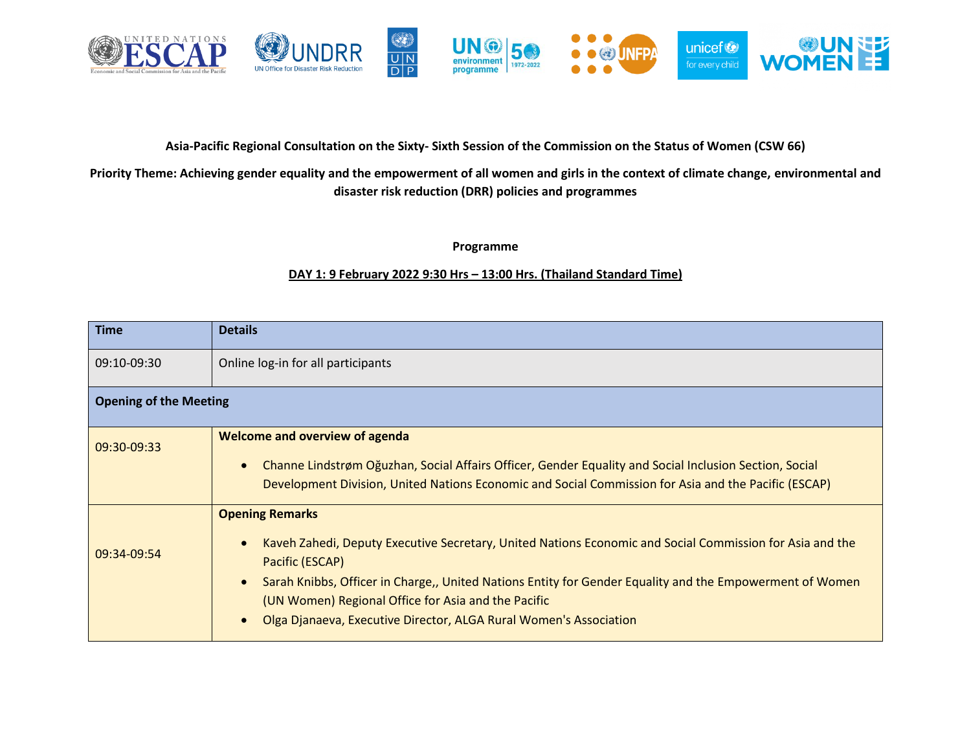

## **Asia-Pacific Regional Consultation on the Sixty- Sixth Session of the Commission on the Status of Women (CSW 66)**

## **Priority Theme: Achieving gender equality and the empowerment of all women and girls in the context of climate change, environmental and disaster risk reduction (DRR) policies and programmes**

**Programme**

## **DAY 1: 9 February 2022 9:30 Hrs – 13:00 Hrs. (Thailand Standard Time)**

| <b>Time</b>                   | <b>Details</b>                                                                                                                                                                                                                                                                                                                                                                                                                       |  |
|-------------------------------|--------------------------------------------------------------------------------------------------------------------------------------------------------------------------------------------------------------------------------------------------------------------------------------------------------------------------------------------------------------------------------------------------------------------------------------|--|
| 09:10-09:30                   | Online log-in for all participants                                                                                                                                                                                                                                                                                                                                                                                                   |  |
| <b>Opening of the Meeting</b> |                                                                                                                                                                                                                                                                                                                                                                                                                                      |  |
| 09:30-09:33                   | <b>Welcome and overview of agenda</b><br>Channe Lindstrøm Oğuzhan, Social Affairs Officer, Gender Equality and Social Inclusion Section, Social<br>$\bullet$<br>Development Division, United Nations Economic and Social Commission for Asia and the Pacific (ESCAP)                                                                                                                                                                 |  |
| 09:34-09:54                   | <b>Opening Remarks</b><br>Kaveh Zahedi, Deputy Executive Secretary, United Nations Economic and Social Commission for Asia and the<br>$\bullet$<br>Pacific (ESCAP)<br>Sarah Knibbs, Officer in Charge,, United Nations Entity for Gender Equality and the Empowerment of Women<br>$\bullet$<br>(UN Women) Regional Office for Asia and the Pacific<br>Olga Djanaeva, Executive Director, ALGA Rural Women's Association<br>$\bullet$ |  |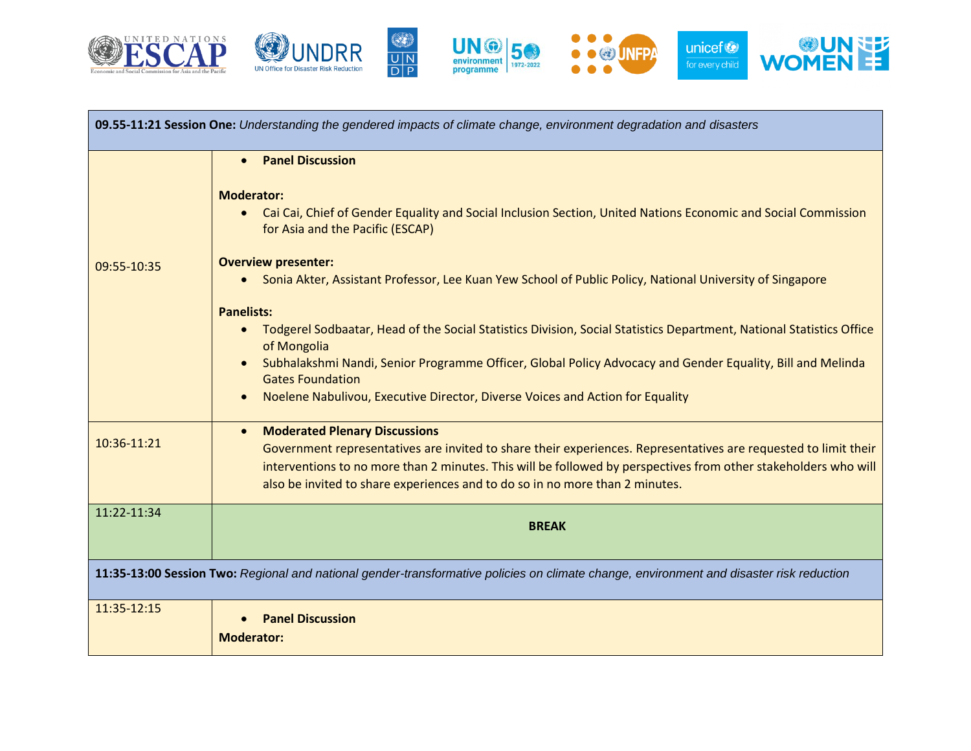



 $\begin{array}{c}\n\circled{}\\
\hline\nU \wedge \\
\hline\nD \wedge\n\end{array}$ 





| 09.55-11:21 Session One: Understanding the gendered impacts of climate change, environment degradation and disasters                     |                                                                                                                                                                                                                                                                                                                    |  |
|------------------------------------------------------------------------------------------------------------------------------------------|--------------------------------------------------------------------------------------------------------------------------------------------------------------------------------------------------------------------------------------------------------------------------------------------------------------------|--|
|                                                                                                                                          | <b>Panel Discussion</b><br>$\bullet$                                                                                                                                                                                                                                                                               |  |
|                                                                                                                                          | <b>Moderator:</b><br>Cai Cai, Chief of Gender Equality and Social Inclusion Section, United Nations Economic and Social Commission<br>$\bullet$<br>for Asia and the Pacific (ESCAP)                                                                                                                                |  |
| 09:55-10:35                                                                                                                              | <b>Overview presenter:</b>                                                                                                                                                                                                                                                                                         |  |
|                                                                                                                                          | Sonia Akter, Assistant Professor, Lee Kuan Yew School of Public Policy, National University of Singapore                                                                                                                                                                                                           |  |
|                                                                                                                                          | <b>Panelists:</b>                                                                                                                                                                                                                                                                                                  |  |
|                                                                                                                                          | Todgerel Sodbaatar, Head of the Social Statistics Division, Social Statistics Department, National Statistics Office<br>$\bullet$<br>of Mongolia                                                                                                                                                                   |  |
|                                                                                                                                          | Subhalakshmi Nandi, Senior Programme Officer, Global Policy Advocacy and Gender Equality, Bill and Melinda<br><b>Gates Foundation</b>                                                                                                                                                                              |  |
|                                                                                                                                          | Noelene Nabulivou, Executive Director, Diverse Voices and Action for Equality                                                                                                                                                                                                                                      |  |
|                                                                                                                                          | <b>Moderated Plenary Discussions</b><br>$\bullet$                                                                                                                                                                                                                                                                  |  |
| 10:36-11:21                                                                                                                              | Government representatives are invited to share their experiences. Representatives are requested to limit their<br>interventions to no more than 2 minutes. This will be followed by perspectives from other stakeholders who will<br>also be invited to share experiences and to do so in no more than 2 minutes. |  |
| 11:22-11:34                                                                                                                              | <b>BREAK</b>                                                                                                                                                                                                                                                                                                       |  |
| 11:35-13:00 Session Two: Regional and national gender-transformative policies on climate change, environment and disaster risk reduction |                                                                                                                                                                                                                                                                                                                    |  |
| 11:35-12:15                                                                                                                              | <b>Panel Discussion</b>                                                                                                                                                                                                                                                                                            |  |
|                                                                                                                                          | <b>Moderator:</b>                                                                                                                                                                                                                                                                                                  |  |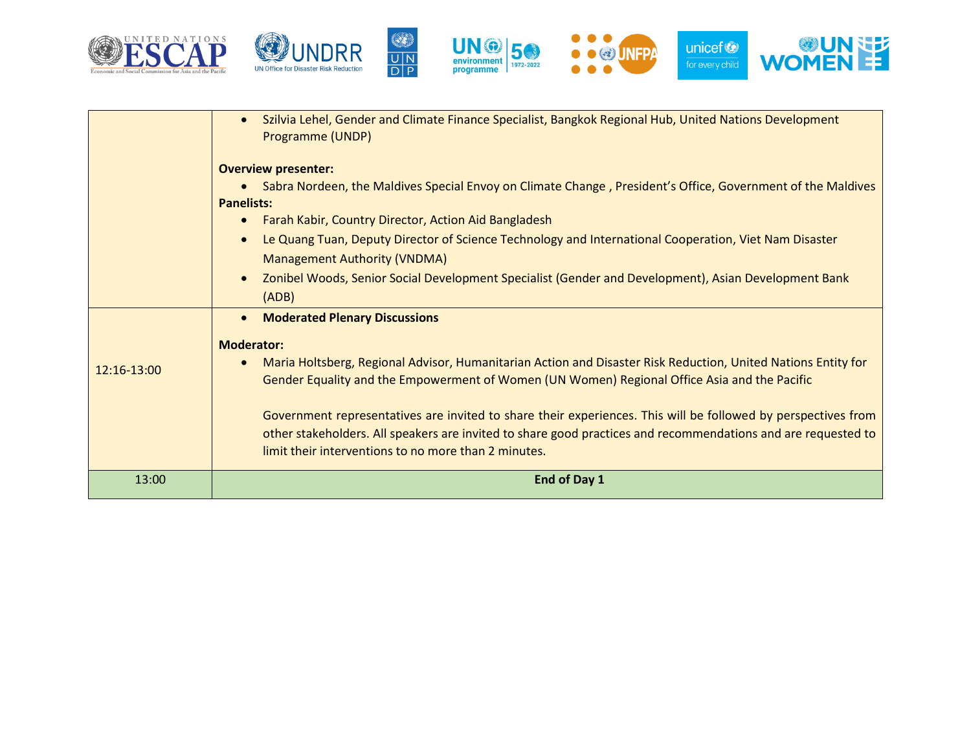









|               | Szilvia Lehel, Gender and Climate Finance Specialist, Bangkok Regional Hub, United Nations Development<br>$\bullet$<br>Programme (UNDP)      |
|---------------|----------------------------------------------------------------------------------------------------------------------------------------------|
|               | <b>Overview presenter:</b>                                                                                                                   |
|               | Sabra Nordeen, the Maldives Special Envoy on Climate Change, President's Office, Government of the Maldives<br>$\bullet$                     |
|               | <b>Panelists:</b>                                                                                                                            |
|               | Farah Kabir, Country Director, Action Aid Bangladesh<br>$\bullet$                                                                            |
|               | Le Quang Tuan, Deputy Director of Science Technology and International Cooperation, Viet Nam Disaster<br><b>Management Authority (VNDMA)</b> |
|               | Zonibel Woods, Senior Social Development Specialist (Gender and Development), Asian Development Bank<br>$\bullet$                            |
|               | (ADB)                                                                                                                                        |
|               | <b>Moderated Plenary Discussions</b><br>$\bullet$                                                                                            |
|               | <b>Moderator:</b>                                                                                                                            |
| $12:16-13:00$ | Maria Holtsberg, Regional Advisor, Humanitarian Action and Disaster Risk Reduction, United Nations Entity for<br>$\bullet$                   |
|               | Gender Equality and the Empowerment of Women (UN Women) Regional Office Asia and the Pacific                                                 |
|               | Government representatives are invited to share their experiences. This will be followed by perspectives from                                |
|               | other stakeholders. All speakers are invited to share good practices and recommendations and are requested to                                |
|               | limit their interventions to no more than 2 minutes.                                                                                         |
| 13:00         | End of Day 1                                                                                                                                 |
|               |                                                                                                                                              |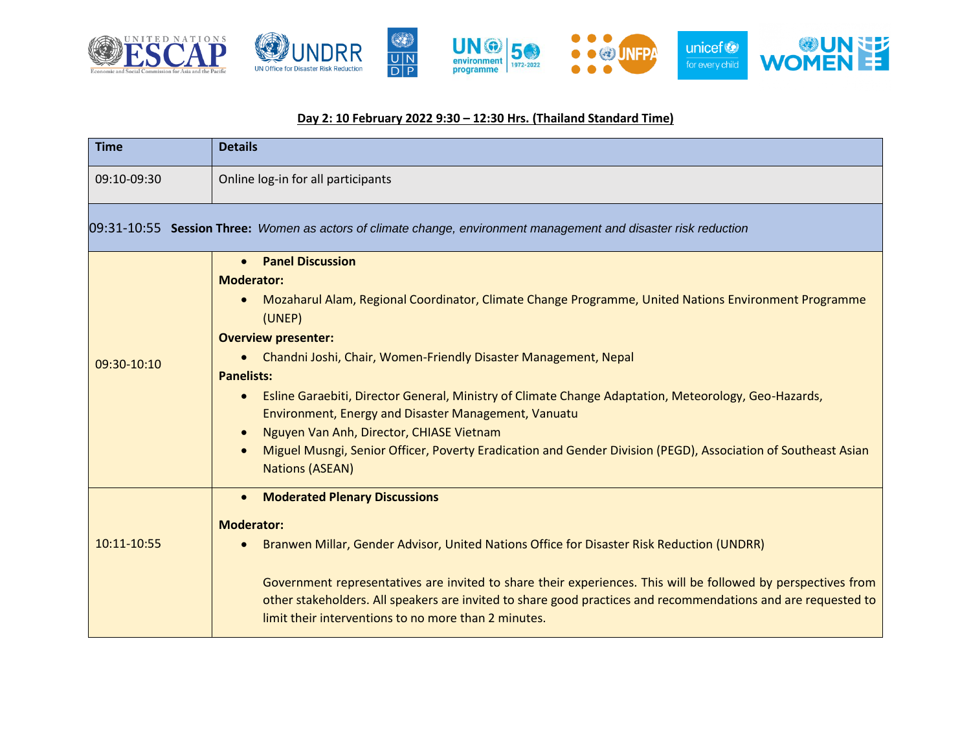

## **Day 2: 10 February 2022 9:30 – 12:30 Hrs. (Thailand Standard Time)**

| <b>Time</b>                                                                                                      | <b>Details</b>                                                                                                                                                                                                                                                                                                                                                                                                                                                                                                                                                                                                                                                                       |  |  |  |
|------------------------------------------------------------------------------------------------------------------|--------------------------------------------------------------------------------------------------------------------------------------------------------------------------------------------------------------------------------------------------------------------------------------------------------------------------------------------------------------------------------------------------------------------------------------------------------------------------------------------------------------------------------------------------------------------------------------------------------------------------------------------------------------------------------------|--|--|--|
| 09:10-09:30                                                                                                      | Online log-in for all participants                                                                                                                                                                                                                                                                                                                                                                                                                                                                                                                                                                                                                                                   |  |  |  |
| 09:31-10:55 Session Three: Women as actors of climate change, environment management and disaster risk reduction |                                                                                                                                                                                                                                                                                                                                                                                                                                                                                                                                                                                                                                                                                      |  |  |  |
| 09:30-10:10                                                                                                      | <b>Panel Discussion</b><br>$\bullet$<br><b>Moderator:</b><br>Mozaharul Alam, Regional Coordinator, Climate Change Programme, United Nations Environment Programme<br>(UNEP)<br><b>Overview presenter:</b><br>• Chandni Joshi, Chair, Women-Friendly Disaster Management, Nepal<br><b>Panelists:</b><br>Esline Garaebiti, Director General, Ministry of Climate Change Adaptation, Meteorology, Geo-Hazards,<br>$\bullet$<br>Environment, Energy and Disaster Management, Vanuatu<br>Nguyen Van Anh, Director, CHIASE Vietnam<br>$\bullet$<br>Miguel Musngi, Senior Officer, Poverty Eradication and Gender Division (PEGD), Association of Southeast Asian<br><b>Nations (ASEAN)</b> |  |  |  |
| 10:11-10:55                                                                                                      | • Moderated Plenary Discussions<br><b>Moderator:</b><br>Branwen Millar, Gender Advisor, United Nations Office for Disaster Risk Reduction (UNDRR)<br>Government representatives are invited to share their experiences. This will be followed by perspectives from<br>other stakeholders. All speakers are invited to share good practices and recommendations and are requested to<br>limit their interventions to no more than 2 minutes.                                                                                                                                                                                                                                          |  |  |  |